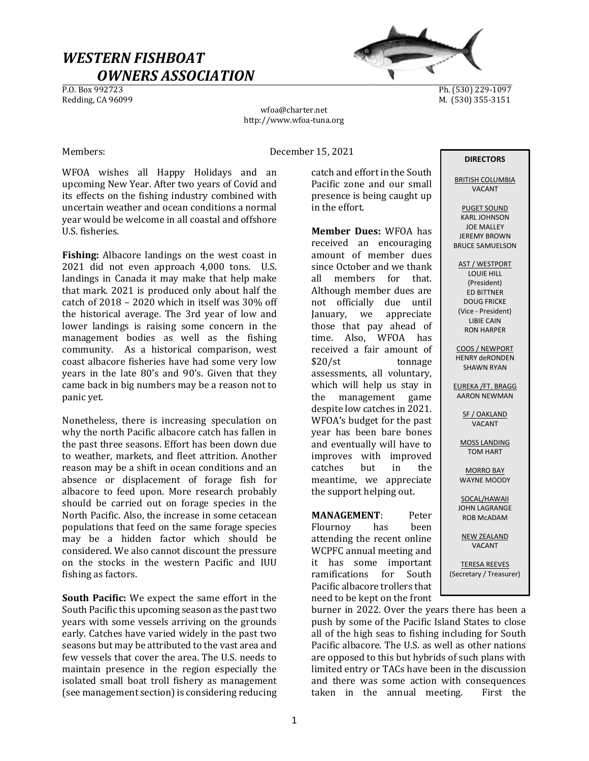# WESTERN FISHBOAT  $OWNERS ASSOCIATION$ </u>



Ph. (530) 229-1097 Redding, CA 96099 M. (530) 355-3151

wfoa@charter.net http://www.wfoa-tuna.org

Members: December 15, 2021

WFOA wishes all Happy Holidays and an upcoming New Year. After two years of Covid and its effects on the fishing industry combined with uncertain weather and ocean conditions a normal year would be welcome in all coastal and offshore U.S. fisheries.

Fishing: Albacore landings on the west coast in 2021 did not even approach 4,000 tons. U.S. landings in Canada it may make that help make that mark. 2021 is produced only about half the catch of 2018 – 2020 which in itself was 30% off the historical average. The 3rd year of low and lower landings is raising some concern in the management bodies as well as the fishing community. As a historical comparison, west coast albacore fisheries have had some very low years in the late 80's and 90's. Given that they came back in big numbers may be a reason not to panic yet.

Nonetheless, there is increasing speculation on why the north Pacific albacore catch has fallen in the past three seasons. Effort has been down due to weather, markets, and fleet attrition. Another reason may be a shift in ocean conditions and an absence or displacement of forage fish for albacore to feed upon. More research probably should be carried out on forage species in the North Pacific. Also, the increase in some cetacean populations that feed on the same forage species may be a hidden factor which should be considered. We also cannot discount the pressure on the stocks in the western Pacific and IUU fishing as factors.

South Pacific: We expect the same effort in the South Pacific this upcoming season as the past two years with some vessels arriving on the grounds early. Catches have varied widely in the past two seasons but may be attributed to the vast area and few vessels that cover the area. The U.S. needs to maintain presence in the region especially the isolated small boat troll fishery as management (see management section) is considering reducing

catch and effort in the South Pacific zone and our small presence is being caught up in the effort.

Member Dues: WFOA has received an encouraging amount of member dues since October and we thank all members for that. Although member dues are not officially due until January, we appreciate those that pay ahead of time. Also, WFOA has received a fair amount of \$20/st tonnage assessments, all voluntary, which will help us stay in the management game despite low catches in 2021. WFOA's budget for the past year has been bare bones and eventually will have to improves with improved catches but in the meantime, we appreciate the support helping out.

MANAGEMENT: Peter Flournoy has been attending the recent online WCPFC annual meeting and it has some important ramifications for South Pacific albacore trollers that need to be kept on the front

# DIRECTORS

BRITISH COLUMBIA VACANT

PUGET SOUND KARL JOHNSON JOE MALLEY JEREMY BROWN BRUCE SAMUELSON

AST / WESTPORT LOUIE HILL (President) ED BITTNER DOUG FRICKE (Vice - President) LIBIE CAIN RON HARPER

COOS / NEWPORT HENRY deRONDEN SHAWN RYAN

EUREKA /FT. BRAGG AARON NEWMAN

> SF / OAKLAND VACANT

MOSS LANDING TOM HART

MORRO BAY WAYNE MOODY

SOCAL/HAWAII JOHN LAGRANGE ROB McADAM

NEW ZEALAND VACANT

TERESA REEVES (Secretary / Treasurer)

burner in 2022. Over the years there has been a push by some of the Pacific Island States to close all of the high seas to fishing including for South Pacific albacore. The U.S. as well as other nations are opposed to this but hybrids of such plans with limited entry or TACs have been in the discussion and there was some action with consequences taken in the annual meeting. First the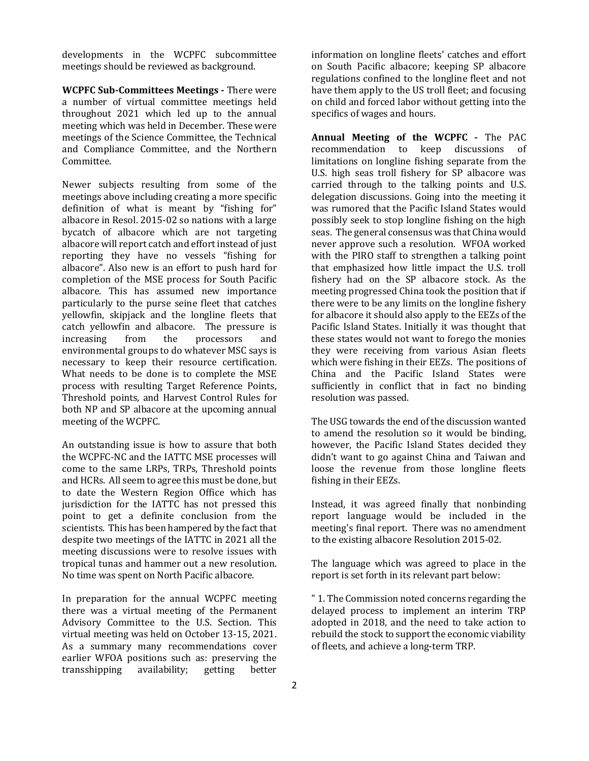developments in the WCPFC subcommittee meetings should be reviewed as background.

WCPFC Sub-Committees Meetings - There were a number of virtual committee meetings held throughout 2021 which led up to the annual meeting which was held in December. These were meetings of the Science Committee, the Technical and Compliance Committee, and the Northern Committee.

Newer subjects resulting from some of the meetings above including creating a more specific definition of what is meant by "fishing for" albacore in Resol. 2015-02 so nations with a large bycatch of albacore which are not targeting albacore will report catch and effort instead of just reporting they have no vessels "fishing for albacore". Also new is an effort to push hard for completion of the MSE process for South Pacific albacore. This has assumed new importance particularly to the purse seine fleet that catches yellowfin, skipjack and the longline fleets that catch yellowfin and albacore. The pressure is increasing from the processors and environmental groups to do whatever MSC says is necessary to keep their resource certification. What needs to be done is to complete the MSE process with resulting Target Reference Points, Threshold points, and Harvest Control Rules for both NP and SP albacore at the upcoming annual meeting of the WCPFC.

An outstanding issue is how to assure that both the WCPFC-NC and the IATTC MSE processes will come to the same LRPs, TRPs, Threshold points and HCRs. All seem to agree this must be done, but to date the Western Region Office which has jurisdiction for the IATTC has not pressed this point to get a definite conclusion from the scientists. This has been hampered by the fact that despite two meetings of the IATTC in 2021 all the meeting discussions were to resolve issues with tropical tunas and hammer out a new resolution. No time was spent on North Pacific albacore.

In preparation for the annual WCPFC meeting there was a virtual meeting of the Permanent Advisory Committee to the U.S. Section. This virtual meeting was held on October 13-15, 2021. As a summary many recommendations cover earlier WFOA positions such as: preserving the transshipping availability; getting better

information on longline fleets' catches and effort on South Pacific albacore; keeping SP albacore regulations confined to the longline fleet and not have them apply to the US troll fleet; and focusing on child and forced labor without getting into the specifics of wages and hours.

Annual Meeting of the WCPFC - The PAC recommendation to keep discussions of limitations on longline fishing separate from the U.S. high seas troll fishery for SP albacore was carried through to the talking points and U.S. delegation discussions. Going into the meeting it was rumored that the Pacific Island States would possibly seek to stop longline fishing on the high seas. The general consensus was that China would never approve such a resolution. WFOA worked with the PIRO staff to strengthen a talking point that emphasized how little impact the U.S. troll fishery had on the SP albacore stock. As the meeting progressed China took the position that if there were to be any limits on the longline fishery for albacore it should also apply to the EEZs of the Pacific Island States. Initially it was thought that these states would not want to forego the monies they were receiving from various Asian fleets which were fishing in their EEZs. The positions of China and the Pacific Island States were sufficiently in conflict that in fact no binding resolution was passed.

The USG towards the end of the discussion wanted to amend the resolution so it would be binding, however, the Pacific Island States decided they didn't want to go against China and Taiwan and loose the revenue from those longline fleets fishing in their EEZs.

Instead, it was agreed finally that nonbinding report language would be included in the meeting's final report. There was no amendment to the existing albacore Resolution 2015-02.

The language which was agreed to place in the report is set forth in its relevant part below:

" 1. The Commission noted concerns regarding the delayed process to implement an interim TRP adopted in 2018, and the need to take action to rebuild the stock to support the economic viability of fleets, and achieve a long-term TRP.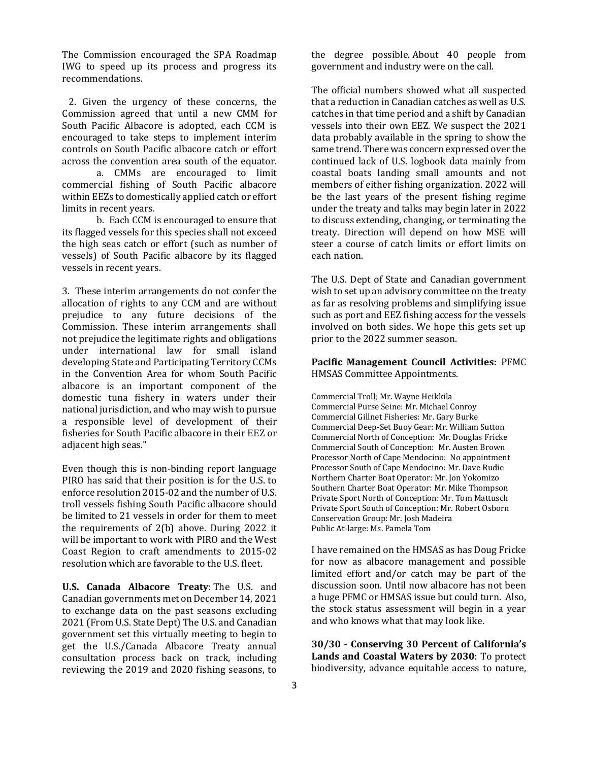The Commission encouraged the SPA Roadmap IWG to speed up its process and progress its recommendations.

 2. Given the urgency of these concerns, the Commission agreed that until a new CMM for South Pacific Albacore is adopted, each CCM is encouraged to take steps to implement interim controls on South Pacific albacore catch or effort across the convention area south of the equator.

 a. CMMs are encouraged to limit commercial fishing of South Pacific albacore within EEZs to domestically applied catch or effort limits in recent years.

 b. Each CCM is encouraged to ensure that its flagged vessels for this species shall not exceed the high seas catch or effort (such as number of vessels) of South Pacific albacore by its flagged vessels in recent years.

3. These interim arrangements do not confer the allocation of rights to any CCM and are without prejudice to any future decisions of the Commission. These interim arrangements shall not prejudice the legitimate rights and obligations under international law for small island developing State and Participating Territory CCMs in the Convention Area for whom South Pacific albacore is an important component of the domestic tuna fishery in waters under their national jurisdiction, and who may wish to pursue a responsible level of development of their fisheries for South Pacific albacore in their EEZ or adjacent high seas."

Even though this is non-binding report language PIRO has said that their position is for the U.S. to enforce resolution 2015-02 and the number of U.S. troll vessels fishing South Pacific albacore should be limited to 21 vessels in order for them to meet the requirements of 2(b) above. During 2022 it will be important to work with PIRO and the West Coast Region to craft amendments to 2015-02 resolution which are favorable to the U.S. fleet.

U.S. Canada Albacore Treaty: The U.S. and Canadian governments met on December 14, 2021 to exchange data on the past seasons excluding 2021 (From U.S. State Dept) The U.S. and Canadian government set this virtually meeting to begin to get the U.S./Canada Albacore Treaty annual consultation process back on track, including reviewing the 2019 and 2020 fishing seasons, to

the degree possible. About 40 people from government and industry were on the call.

The official numbers showed what all suspected that a reduction in Canadian catches as well as U.S. catches in that time period and a shift by Canadian vessels into their own EEZ. We suspect the 2021 data probably available in the spring to show the same trend. There was concern expressed over the continued lack of U.S. logbook data mainly from coastal boats landing small amounts and not members of either fishing organization. 2022 will be the last years of the present fishing regime under the treaty and talks may begin later in 2022 to discuss extending, changing, or terminating the treaty. Direction will depend on how MSE will steer a course of catch limits or effort limits on each nation.

The U.S. Dept of State and Canadian government wish to set up an advisory committee on the treaty as far as resolving problems and simplifying issue such as port and EEZ fishing access for the vessels involved on both sides. We hope this gets set up prior to the 2022 summer season.

Pacific Management Council Activities: PFMC HMSAS Committee Appointments.

Commercial Troll; Mr. Wayne Heikkila Commercial Purse Seine: Mr. Michael Conroy Commercial Gillnet Fisheries: Mr. Gary Burke Commercial Deep-Set Buoy Gear: Mr. William Sutton Commercial North of Conception: Mr. Douglas Fricke Commercial South of Conception: Mr. Austen Brown Processor North of Cape Mendocino: No appointment Processor South of Cape Mendocino: Mr. Dave Rudie Northern Charter Boat Operator: Mr. Jon Yokomizo Southern Charter Boat Operator: Mr. Mike Thompson Private Sport North of Conception: Mr. Tom Mattusch Private Sport South of Conception: Mr. Robert Osborn Conservation Group: Mr. Josh Madeira Public At-large: Ms. Pamela Tom

I have remained on the HMSAS as has Doug Fricke for now as albacore management and possible limited effort and/or catch may be part of the discussion soon. Until now albacore has not been a huge PFMC or HMSAS issue but could turn. Also, the stock status assessment will begin in a year and who knows what that may look like.

30/30 - Conserving 30 Percent of California's Lands and Coastal Waters by 2030: To protect biodiversity, advance equitable access to nature,